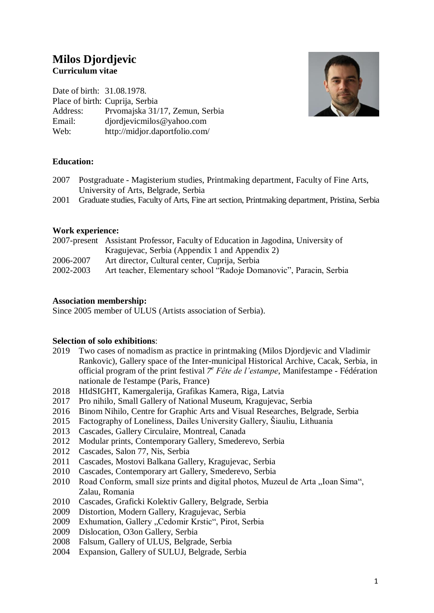# **Milos Djordjevic Curriculum vitae**

Date of birth: 31.08.1978. Place of birth: Cuprija, Serbia Address: Prvomajska 31/17, Zemun, Serbia Email: djordjevicmilos@yahoo.com Web: http://midjor.daportfolio.com/



### **Education:**

- 2007 Postgraduate Magisterium studies, Printmaking department, Faculty of Fine Arts, University of Arts, Belgrade, Serbia
- 2001 Graduate studies, Faculty of Arts, Fine art section, Printmaking department, Pristina, Serbia

#### **Work experience:**

|           | 2007-present Assistant Professor, Faculty of Education in Jagodina, University of |
|-----------|-----------------------------------------------------------------------------------|
|           | Kragujevac, Serbia (Appendix 1 and Appendix 2)                                    |
| 2006-2007 | Art director, Cultural center, Cuprija, Serbia                                    |
| 2002-2003 | Art teacher, Elementary school "Radoje Domanovic", Paracin, Serbia                |
|           |                                                                                   |

#### **Association membership:**

Since 2005 member of ULUS (Artists association of Serbia).

#### **Selection of solo exhibitions**:

- 2019 Two cases of nomadism as practice in printmaking (Milos Djordjevic and Vladimir Rankovic), Gallery space of the Inter-municipal Historical Archive, Cacak, Serbia, in official program of the print festival  $7^e$  Fête de l'estampe, Manifestampe - Fédération nationale de l'estampe (Paris, France)
- 2018 HIdSIGHT, Kamergalerija, Grafikas Kamera, Riga, Latvia
- 2017 Pro nihilo, Small Gallery of National Museum, Kragujevac, Serbia
- 2016 Binom Nihilo, Centre for Graphic Arts and Visual Researches, Belgrade, Serbia
- 2015 Factography of Loneliness, Dailes University Gallery, Šiauliu, Lithuania
- 2013 Cascades, Gallery Circulaire, Montreal, Canada
- 2012 Modular prints, Contemporary Gallery, Smederevo, Serbia
- 2012 Cascades, Salon 77, Nis, Serbia
- 2011 Cascades, Mostovi Balkana Gallery, Kragujevac, Serbia
- 2010 Cascades, Contemporary art Gallery, Smederevo, Serbia
- 2010 Road Conform, small size prints and digital photos, Muzeul de Arta "Ioan Sima", Zalau, Romania
- 2010 Cascades, Graficki Kolektiv Gallery, Belgrade, Serbia
- 2009 Distortion, Modern Gallery, Kragujevac, Serbia
- 2009 Exhumation, Gallery "Cedomir Krstic", Pirot, Serbia
- 2009 Dislocation, O3on Gallery, Serbia
- 2008 Falsum, Gallery of ULUS, Belgrade, Serbia
- 2004 Expansion, Gallery of SULUJ, Belgrade, Serbia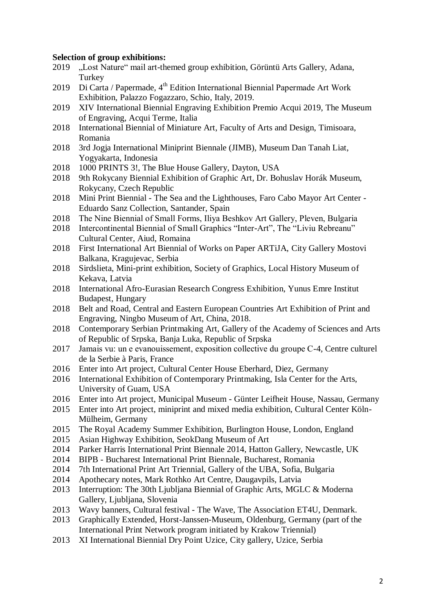#### **Selection of group exhibitions:**

- 2019 "Lost Nature" mail art-themed group exhibition, Görüntü Arts Gallery, Adana, **Turkey**
- 2019 Di Carta / Papermade, 4<sup>th</sup> Edition International Biennial Papermade Art Work Exhibition, Palazzo Fogazzaro, Schio, Italy, 2019.
- 2019 XIV International Biennial Engraving Exhibition Premio Acqui 2019, The Museum of Engraving, Acqui Terme, Italia
- 2018 International Biennial of Miniature Art, Faculty of Arts and Design, Timisoara, Romania
- 2018 3rd Jogja International Miniprint Biennale (JIMB), Museum Dan Tanah Liat, Yogyakarta, Indonesia
- 2018 1000 PRINTS 3!, The Blue House Gallery, Dayton, USA
- 2018 9th Rokycany Biennial Exhibition of Graphic Art, Dr. Bohuslav Horák Museum, Rokycany, Czech Republic
- 2018 Mini Print Biennial The Sea and the Lighthouses, Faro Cabo Mayor Art Center Eduardo Sanz Collection, Santander, Spain
- 2018 Тhe Nine Biennial of Small Forms, Iliya Beshkov Art Gallery, Pleven, Bulgaria
- 2018 Intercontinental Biennial of Small Graphics "Inter-Art", The "Liviu Rebreanu" Cultural Center, Aiud, Romaina
- 2018 First International Art Biennial of Works on Paper ARTiJA, City Gallery Mostovi Balkana, Kragujevac, Serbia
- 2018 Sirdslieta, Mini-print exhibition, Society of Graphics, Local History Museum of Kekava, Latvia
- 2018 International Afro-Eurasian Research Congress Exhibition, Yunus Emre Institut Budapest, Hungary
- 2018 Belt and Road, Central and Eastern European Countries Art Exhibition of Print and Engraving, Ningbo Museum of Art, China, 2018.
- 2018 Contemporary Serbian Printmaking Art, Gallery of the Academy of Sciences and Arts of Republic of Srpska, Banja Luka, Republic of Srpska
- 2017 Jamais vu: un e evanouissement, еxposition collective du groupe С-4, Centre culturel de la Serbie à Paris, France
- 2016 Enter into Art project, Cultural Center House Eberhard, Diez, Germany
- 2016 International Exhibition of Contemporary Printmaking, Isla Center for the Arts, University of Guam, USA
- 2016 Enter into Art project, Municipal Museum Günter Leifheit House, Nassau, Germany
- 2015 Enter into Art project, miniprint and mixed media exhibition, Cultural Center Köln-Mülheim, Germany
- 2015 The Royal Academy Summer Exhibition, Burlington House, London, England
- 2015 Asian Highway Exhibition, SeokDang Museum of Art
- 2014 Parker Harris International Print Biennale 2014, Hatton Gallery, Newcastle, UK
- 2014 BIPB Bucharest International Print Biennale, Bucharest, Romania
- 2014 7th International Print Art Triennial, Gallery of the UBA, Sofia, Bulgaria
- 2014 Apothecary notes, Mark Rothko Art Centre, Daugavpils, Latvia
- 2013 Interruption: The 30th Ljubljana Biennial of Graphic Arts, MGLC & Moderna Gallery, Ljubljana, Slovenia
- 2013 Wavy banners, Cultural festival The Wave, The Association ET4U, Denmark.
- 2013 Graphically Extended, Horst-Janssen-Museum, Oldenburg, Germany (part of the International Print Network program initiated by Krakow Triennial)
- 2013 XI International Biennial Dry Point Uzice, City gallery, Uzice, Serbia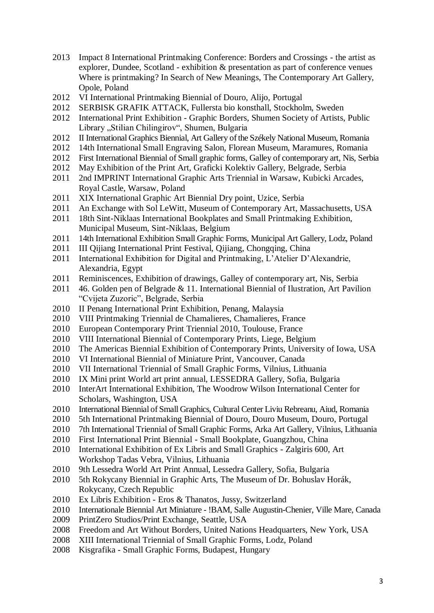- 2013 Impact 8 International Printmaking Conference: Borders and Crossings the artist as explorer, Dundee, Scotland - exhibition & presentation as part of conference venues Where is printmaking? In Search of New Meanings, The Contemporary Art Gallery, Opole, Poland
- 2012 VI International Printmaking Biennial of Douro, Alijo, Portugal
- 2012 SERBISK GRAFIK ATTACK, Fullersta bio konsthall, Stockholm, Sweden
- 2012 International Print Exhibition Graphic Borders, Shumen Society of Artists, Public Library "Stilian Chilingirov", Shumen, Bulgaria
- 2012 II International Graphics Biennial, Art Gallery of the Székely National Museum, Romania
- 2012 14th International Small Engraving Salon, Florean Museum, Maramures, Romania
- 2012 First International Biennial of Small graphic forms, Galley of contemporary art, Nis, Serbia
- 2012 May Exhibition of the Print Art, Graficki Kolektiv Gallery, Belgrade, Serbia
- 2011 2nd IMPRINT International Graphic Arts Triennial in Warsaw, Kubicki Arcades, Royal Castle, Warsaw, Poland
- 2011 XIX International Graphic Art Biennial Dry point, Uzice, Serbia
- 2011 An Exchange with Sol LeWitt, Museum of Contemporary Art, Massachusetts, USA
- 2011 18th Sint-Niklaas International Bookplates and Small Printmaking Exhibition, Municipal Museum, Sint-Niklaas, Belgium
- 2011 14th International Exhibition Small Graphic Forms, Municipal Art Gallery, Lodz, Poland
- 2011 III Qijiang International Print Festival, Qijiang, Chongqing, China
- 2011 International Exhibition for Digital and Printmaking, L'Atelier D'Alexandrie, Alexandria, Egypt
- 2011 Reminiscences, Exhibition of drawings, Galley of contemporary art, Nis, Serbia
- 2011 46. Golden pen of Belgrade & 11. International Biennial of Ilustration, Art Pavilion "Cvijeta Zuzoric", Belgrade, Serbia
- 2010 II Penang International Print Exhibition, Penang, Malaysia
- 2010 VIII Printmaking Triennial de Chamalieres, Chamalieres, France
- 2010 European Contemporary Print Triennial 2010, Toulouse, France
- 2010 VIII International Biennial of Contemporary Prints, Liege, Belgium
- 2010 The Americas Biennial Exhibition of Contemporary Prints, University of Iowa, USA
- 2010 VI International Biennial of Miniature Print, Vancouver, Canada
- 2010 VII International Triennial of Small Graphic Forms, Vilnius, Lithuania
- 2010 IX Mini print World art print annual, LESSEDRA Gallery, Sofia, Bulgaria
- 2010 InterArt International Exhibition, The Woodrow Wilson International Center for Scholars, Washington, USA
- 2010 International Biennial of Small Graphics, Cultural Center Liviu Rebreanu, Aiud, Romania
- 2010 5th International Printmaking Biennial of Douro, Douro Museum, Douro, Portugal
- 2010 7th International Triennial of Small Graphic Forms, Arka Art Gallery, Vilnius, Lithuania
- 2010 First International Print Biennial Small Bookplate, Guangzhou, China
- 2010 International Exhibition of Ex Libris and Small Graphics Zalgiris 600, Art Workshop Tadas Vebra, Vilnius, Lithuania
- 2010 9th Lessedra World Art Print Annual, Lessedra Gallery, Sofia, Bulgaria
- 2010 5th Rokycany Biennial in Graphic Arts, The Museum of Dr. Bohuslav Horák, Rokycany, Czech Republic
- 2010 Ex Libris Exhibition Eros & Thanatos, Jussy, Switzerland
- 2010 Internationale Biennial Art Miniature !BAM, Salle Augustin-Chenier, Ville Mare, Canada
- 2009 PrintZero Studios/Print Exchange, Seattle, USA
- 2008 Freedom and Art Without Borders, United Nations Headquarters, New York, USA
- 2008 XIII International Triennial of Small Graphic Forms, Lodz, Poland
- 2008 Kisgrafika Small Graphic Forms, Budapest, Hungary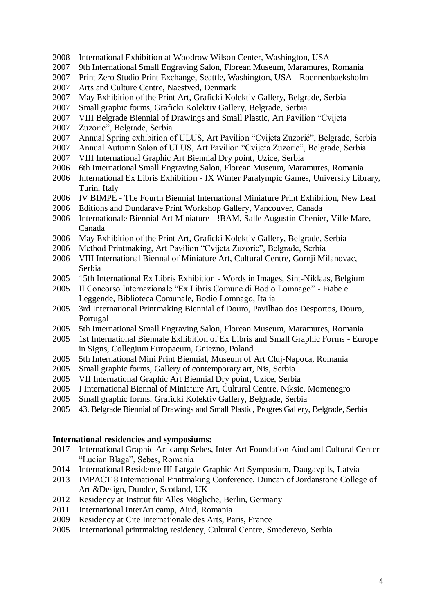- International Exhibition at Woodrow Wilson Center, Washington, USA
- 9th International Small Engraving Salon, Florean Museum, Maramures, Romania
- Print Zero Studio Print Exchange, Seattle, Washington, USA Roennenbaeksholm
- Arts and Culture Centre, Naestved, Denmark
- May Exhibition of the Print Art, Graficki Kolektiv Gallery, Belgrade, Serbia
- Small graphic forms, Graficki Kolektiv Gallery, Belgrade, Serbia
- VIII Belgrade Biennial of Drawings and Small Plastic, Art Pavilion "Cvijeta
- Zuzoric", Belgrade, Serbia
- Annual Spring exhibition of ULUS, Art Pavilion "Cvijeta Zuzorić", Belgrade, Serbia
- Annual Autumn Salon of ULUS, Art Pavilion "Cvijeta Zuzoric", Belgrade, Serbia
- VIII International Graphic Art Biennial Dry point, Uzice, Serbia
- 6th International Small Engraving Salon, Florean Museum, Maramures, Romania
- International Ex Libris Exhibition IX Winter Paralympic Games, University Library, Turin, Italy
- IV BIMPE The Fourth Biennial International Miniature Print Exhibition, New Leaf
- Editions and Dundarave Print Workshop Gallery, Vancouver, Canada
- Internationale Biennial Art Miniature !BAM, Salle Augustin-Chenier, Ville Mare, Canada
- May Exhibition of the Print Art, Graficki Kolektiv Gallery, Belgrade, Serbia
- Method Printmaking, Art Pavilion "Cvijeta Zuzoric", Belgrade, Serbia
- VIII International Biennal of Miniature Art, Cultural Centre, Gornji Milanovac, Serbia
- 15th International Ex Libris Exhibition Words in Images, Sint-Niklaas, Belgium
- II Concorso Internazionale "Ex Libris Comune di Bodio Lomnago" Fiabe e Leggende, Biblioteca Comunale, Bodio Lomnago, Italia
- 3rd International Printmaking Biennial of Douro, Pavilhao dos Desportos, Douro, Portugal
- 5th International Small Engraving Salon, Florean Museum, Maramures, Romania
- 1st International Biennale Exhibition of Ex Libris and Small Graphic Forms Europe in Signs, Collegium Europaeum, Gniezno, Poland
- 5th International Mini Print Biennial, Museum of Art Cluj-Napoca, Romania
- Small graphic forms, Gallery of contemporary art, Nis, Serbia
- VII International Graphic Art Biennial Dry point, Uzice, Serbia
- I International Biennal of Miniature Art, Cultural Centre, Niksic, Montenegro
- Small graphic forms, Graficki Kolektiv Gallery, Belgrade, Serbia
- 43. Belgrade Biennial of Drawings and Small Plastic, Progres Gallery, Belgrade, Serbia

#### **International residencies and symposiums:**

- International Graphic Art camp Sebes, Inter-Art Foundation Aiud and Cultural Center "Lucian Blaga", Sebes, Romania
- 2014 International Residence III Latgale Graphic Art Symposium, Daugavpils, Latvia
- 2013 IMPACT 8 International Printmaking Conference, Duncan of Jordanstone College of Art &Design, Dundee, Scotland, UK
- 2012 Residency at Institut für Alles Mögliche, Berlin, Germany
- International InterArt camp, Aiud, Romania
- 2009 Residency at Cite Internationale des Arts, Paris, France
- International printmaking residency, Cultural Centre, Smederevo, Serbia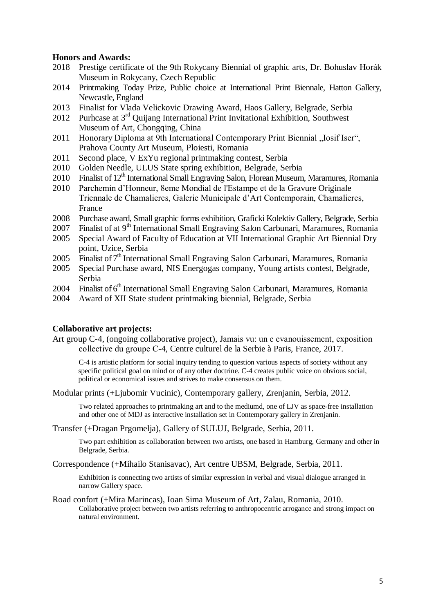#### **Honors and Awards:**

- 2018 Prestige certificate of the 9th Rokycany Biennial of graphic arts, Dr. Bohuslav Horák Museum in Rokycany, Czech Republic
- 2014 Printmaking Today Prize, Public choice at International Print Biennale, Hatton Gallery, Newcastle, England
- 2013 Finalist for Vlada Velickovic Drawing Award, Haos Gallery, Belgrade, Serbia
- 2012 Purhcase at 3<sup>rd</sup> Quijang International Print Invitational Exhibition, Southwest Museum of Art, Chongqing, China
- 2011 Honorary Diploma at 9th International Contemporary Print Biennial "Iosif Iser", Prahova County Art Museum, Ploiesti, Romania
- 2011 Second place, V ExYu regional printmaking contest, Serbia
- 2010 Golden Needle, ULUS State spring exhibition, Belgrade, Serbia
- 2010 Finalist of  $12<sup>th</sup>$  International Small Engraving Salon, Florean Museum, Maramures, Romania
- 2010 Parchemin d'Honneur, 8eme Mondial de l'Estampe et de la Gravure Originale Triennale de Chamalieres, Galerie Municipale d'Art Contemporain, Chamalieres, France
- 2008 Purchase award, Small graphic forms exhibition, Graficki Kolektiv Gallery, Belgrade, Serbia
- 2007 Finalist of at 9<sup>th</sup> International Small Engraving Salon Carbunari, Maramures, Romania
- 2005 Special Award of Faculty of Education at VII International Graphic Art Biennial Dry point, Uzice, Serbia
- 2005 Finalist of 7<sup>th</sup> International Small Engraving Salon Carbunari, Maramures, Romania
- 2005 Special Purchase award, NIS Energogas company, Young artists contest, Belgrade, Serbia
- 2004 Finalist of 6<sup>th</sup> International Small Engraving Salon Carbunari, Maramures, Romania
- 2004 Award of XII State student printmaking biennial, Belgrade, Serbia

#### **Collaborative art projects:**

Art group C-4, (ongoing collaborative project), Jamais vu: un e evanouissement, еxposition collective du groupe С-4, Centre culturel de la Serbie à Paris, France, 2017.

C-4 is artistic platform for social inquiry tending to question various aspects of society without any specific political goal on mind or of any other doctrine. C-4 creates public voice on obvious social, political or economical issues and strives to make consensus on them.

Modular prints (+Ljubomir Vucinic), Contemporary gallery, Zrenjanin, Serbia, 2012.

Two related approaches to printmaking art and to the mediumd, one of LJV as space-free installation and other one of MDJ as interactive installation set in Contemporary gallery in Zrenjanin.

Transfer (+Dragan Prgomelja), Gallery of SULUJ, Belgrade, Serbia, 2011.

Two part exhibition as collaboration between two artists, one based in Hamburg, Germany and other in Belgrade, Serbia.

Correspondence (+Mihailo Stanisavac), Art centre UBSM, Belgrade, Serbia, 2011.

Exhibition is connecting two artists of similar expression in verbal and visual dialogue arranged in narrow Gallery space.

Road confort (+Mira Marincas), Ioan Sima Museum of Art, Zalau, Romania, 2010. Collaborative project between two artists referring to anthropocentric arrogance and strong impact on natural environment.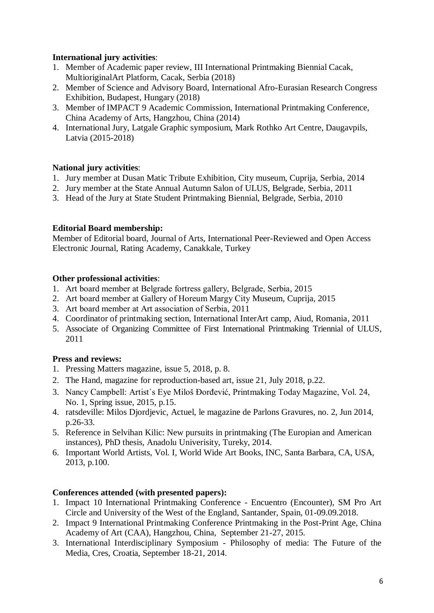### **International jury activities**:

- 1. Member of Academic paper review, III International Printmaking Biennial Cacak, MultioriginalArt Platform, Cacak, Serbia (2018)
- 2. Member of Science and Advisory Board, International Afro-Eurasian Research Congress Exhibition, Budapest, Hungary (2018)
- 3. Member of IMPACT 9 Academic Commission, International Printmaking Conference, China Academy of Arts, Hangzhou, China (2014)
- 4. International Jury, Latgale Graphic symposium, Mark Rothko Art Centre, Daugavpils, Latvia (2015-2018)

### **National jury activities**:

- 1. Jury member at Dusan Matic Tribute Exhibition, City museum, Cuprija, Serbia, 2014
- 2. Jury member at the State Annual Autumn Salon of ULUS, Belgrade, Serbia, 2011
- 3. Head of the Jury at State Student Printmaking Biennial, Belgrade, Serbia, 2010

### **Editorial Board membership:**

Member of Editorial board, Journal of Arts, International Peer-Reviewed and Open Access Electronic Journal, Rating Academy, Canakkale, Turkey

### **Other professional activities**:

- 1. Аrt board member at Belgrade fortress gallery, Belgrade, Serbia, 2015
- 2. Аrt board member at Gallery of Horeum Margy City Museum, Cuprija, 2015
- 3. Аrt board member at Art association of Serbia, 2011
- 4. Coordinator of printmaking section, International InterArt camp, Aiud, Romania, 2011
- 5. Associate of Organizing Committee of First International Printmaking Triennial of ULUS, 2011

### **Press and reviews:**

- 1. Pressing Matters magazine, issue 5, 2018, p. 8.
- 2. The Hand, magazine for reproduction-based art, issue 21, July 2018, p.22.
- 3. Nancy Campbell: Artist`s Eye Miloš Đorđević, Printmaking Today Magazine, Vol. 24, No. 1, Spring issue, 2015, p.15.
- 4. ratsdeville: Milos Djordjevic, Actuel, le magazine de Parlons Gravures, no. 2, Jun 2014, p.26-33.
- 5. Reference in Selvihan Kilic: New pursuits in printmaking (The Europian and American instances), PhD thesis, Anadolu Univerisity, Tureky, 2014.
- 6. Important World Artists, Vol. I, World Wide Art Books, INC, Santa Barbara, CA, USA, 2013, p.100.

### **Conferences attended (with presented papers):**

- 1. Impact 10 International Printmaking Conference Encuentro (Encounter), SM Pro Art Circle and University of the West of the England, Santander, Spain, 01-09.09.2018.
- 2. Impact 9 International Printmaking Conference Printmaking in the Post-Print Age, China Academy of Art (CAA), Hangzhou, China, September 21-27, 2015.
- 3. International Interdisciplinary Symposium Philosophy of media: The Future of the Media, Cres, Croatia, September 18-21, 2014.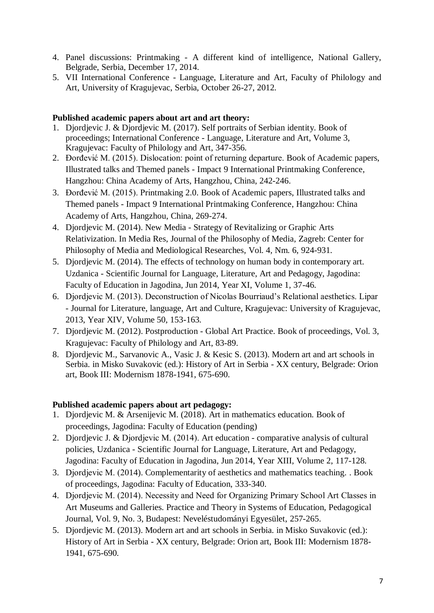- 4. Panel discussions: Printmaking A different kind of intelligence, National Gallery, Belgrade, Serbia, December 17, 2014.
- 5. VII International Conference Language, Literature and Art, Faculty of Philology and Art, University of Kragujevac, Serbia, October 26-27, 2012.

### **Published academic papers about art and art theory:**

- 1. Djordjevic J. & Djordjevic M. (2017). Self portraits of Serbian identity. Book of proceedings; International Conference - Language, Literature and Art, Volume 3, Kragujevac: Faculty of Philology and Art, 347-356.
- 2. Đorđević M. (2015). Dislocation: point of returning departure. Book of Academic papers, Illustrated talks and Themed panels - Impact 9 International Printmaking Conference, Hangzhou: China Academy of Arts, Hangzhou, China, 242-246.
- 3. Đorđević M. (2015). Printmaking 2.0. Book of Academic papers, Illustrated talks and Themed panels - Impact 9 International Printmaking Conference, Hangzhou: China Academy of Arts, Hangzhou, China, 269-274.
- 4. Djordjevic M. (2014). New Media Strategy of Revitalizing or Graphic Arts Relativization. In Media Res, Journal of the Philosophy of Media, Zagreb: Center for Philosophy of Media and Mediological Researches, Vol. 4, Nm. 6, 924-931.
- 5. Djordjevic M. (2014). The effects of technology on human body in contemporary art. Uzdanica - Scientific Journal for Language, Literature, Art and Pedagogy, Jagodina: Faculty of Education in Jagodina, Jun 2014, Year XI, Volume 1, 37-46.
- 6. Djordjevic M. (2013). Deconstruction of Nicolas Bourriaud's Relational aesthetics. Lipar - Journal for Literature, language, Art and Culture, Kragujevac: University of Kragujevac, 2013, Year XIV, Volume 50, 153-163.
- 7. Djordjevic M. (2012). Postproduction Global Art Practice. Book of proceedings, Vol. 3, Kragujevac: Faculty of Philology and Art, 83-89.
- 8. Djordjevic M., Sarvanovic A., Vasic J. & Kesic S. (2013). Modern art and art schools in Serbia. in Misko Suvakovic (ed.): History of Art in Serbia - XX century, Belgrade: Orion art, Book III: Modernism 1878-1941, 675-690.

# **Published academic papers about art pedagogy:**

- 1. Djordjevic M. & Arsenijevic M. (2018). Art in mathematics education. Book of proceedings, Jagodina: Faculty of Education (pending)
- 2. Djordjevic J. & Djordjevic М. (2014). Art education comparative analysis of cultural policies, Uzdanica - Scientific Journal for Language, Literature, Art and Pedagogy, Jagodina: Faculty of Education in Jagodina, Jun 2014, Year XIII, Volume 2, 117-128.
- 3. Djordjevic М. (2014). Complementarity of aesthetics and mathematics teaching. . Book of proceedings, Jagodina: Faculty of Education, 333-340.
- 4. Djordjevic М. (2014). Necessity and Need for Organizing Primary School Art Classes in Art Museums and Galleries. Practice and Theory in Systems of Education, Pedagogical Journal, Vol. 9, No. 3, Budapest: Neveléstudományi Egyesület, 257-265.
- 5. Djordjevic M. (2013). Modern art and art schools in Serbia. in Misko Suvakovic (ed.): History of Art in Serbia - XX century, Belgrade: Orion art, Book III: Modernism 1878- 1941, 675-690.